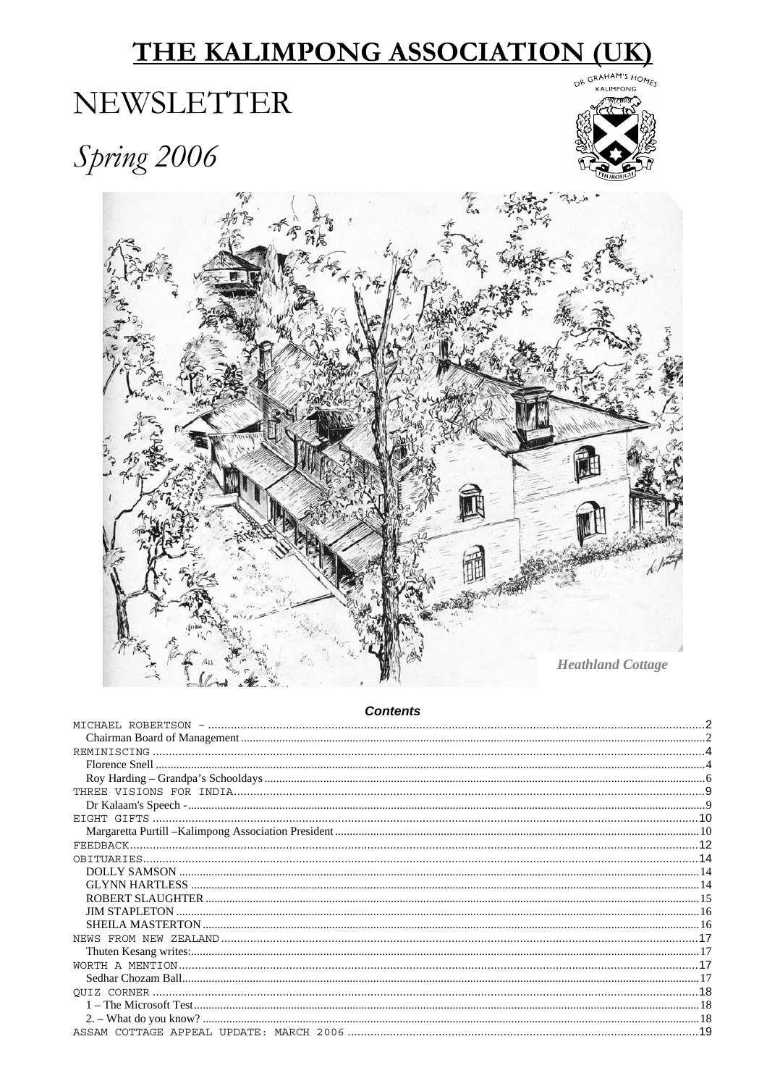# THE KALIMPONG ASSOCIATION (UK)

# **NEWSLETTER**

Spring 2006





#### **Contents**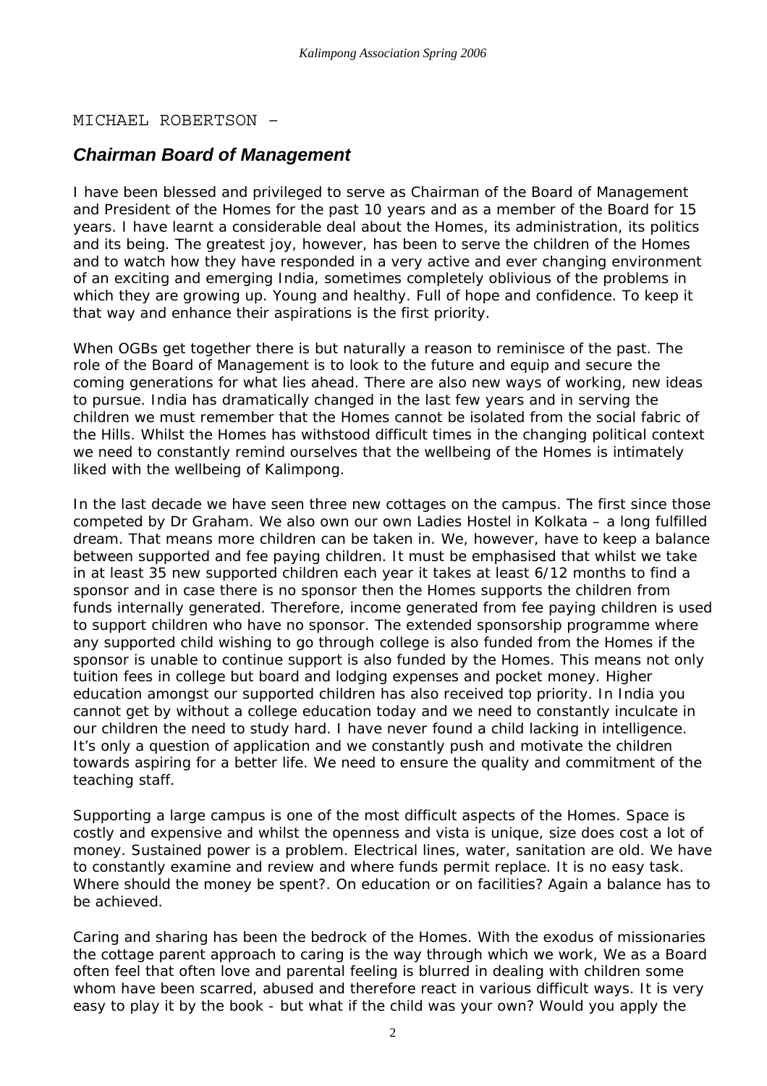## <span id="page-1-0"></span>MICHAEL ROBERTSON –

# *Chairman Board of Management*

I have been blessed and privileged to serve as Chairman of the Board of Management and President of the Homes for the past 10 years and as a member of the Board for 15 years. I have learnt a considerable deal about the Homes, its administration, its politics and its being. The greatest joy, however, has been to serve the children of the Homes and to watch how they have responded in a very active and ever changing environment of an exciting and emerging India, sometimes completely oblivious of the problems in which they are growing up. Young and healthy. Full of hope and confidence. To keep it that way and enhance their aspirations is the first priority.

When OGBs get together there is but naturally a reason to reminisce of the past. The role of the Board of Management is to look to the future and equip and secure the coming generations for what lies ahead. There are also new ways of working, new ideas to pursue. India has dramatically changed in the last few years and in serving the children we must remember that the Homes cannot be isolated from the social fabric of the Hills. Whilst the Homes has withstood difficult times in the changing political context we need to constantly remind ourselves that the wellbeing of the Homes is intimately liked with the wellbeing of Kalimpong.

In the last decade we have seen three new cottages on the campus. The first since those competed by Dr Graham. We also own our own Ladies Hostel in Kolkata – a long fulfilled dream. That means more children can be taken in. We, however, have to keep a balance between supported and fee paying children. It must be emphasised that whilst we take in at least 35 new supported children each year it takes at least 6/12 months to find a sponsor and in case there is no sponsor then the Homes supports the children from funds internally generated. Therefore, income generated from fee paying children is used to support children who have no sponsor. The extended sponsorship programme where any supported child wishing to go through college is also funded from the Homes if the sponsor is unable to continue support is also funded by the Homes. This means not only tuition fees in college but board and lodging expenses and pocket money. Higher education amongst our supported children has also received top priority. In India you cannot get by without a college education today and we need to constantly inculcate in our children the need to study hard. I have never found a child lacking in intelligence. It's only a question of application and we constantly push and motivate the children towards aspiring for a better life. We need to ensure the quality and commitment of the teaching staff.

Supporting a large campus is one of the most difficult aspects of the Homes. Space is costly and expensive and whilst the openness and vista is unique, size does cost a lot of money. Sustained power is a problem. Electrical lines, water, sanitation are old. We have to constantly examine and review and where funds permit replace. It is no easy task. Where should the money be spent?. On education or on facilities? Again a balance has to be achieved.

Caring and sharing has been the bedrock of the Homes. With the exodus of missionaries the cottage parent approach to caring is the way through which we work, We as a Board often feel that often love and parental feeling is blurred in dealing with children some whom have been scarred, abused and therefore react in various difficult ways. It is very easy to play it by the book - but what if the child was your own? Would you apply the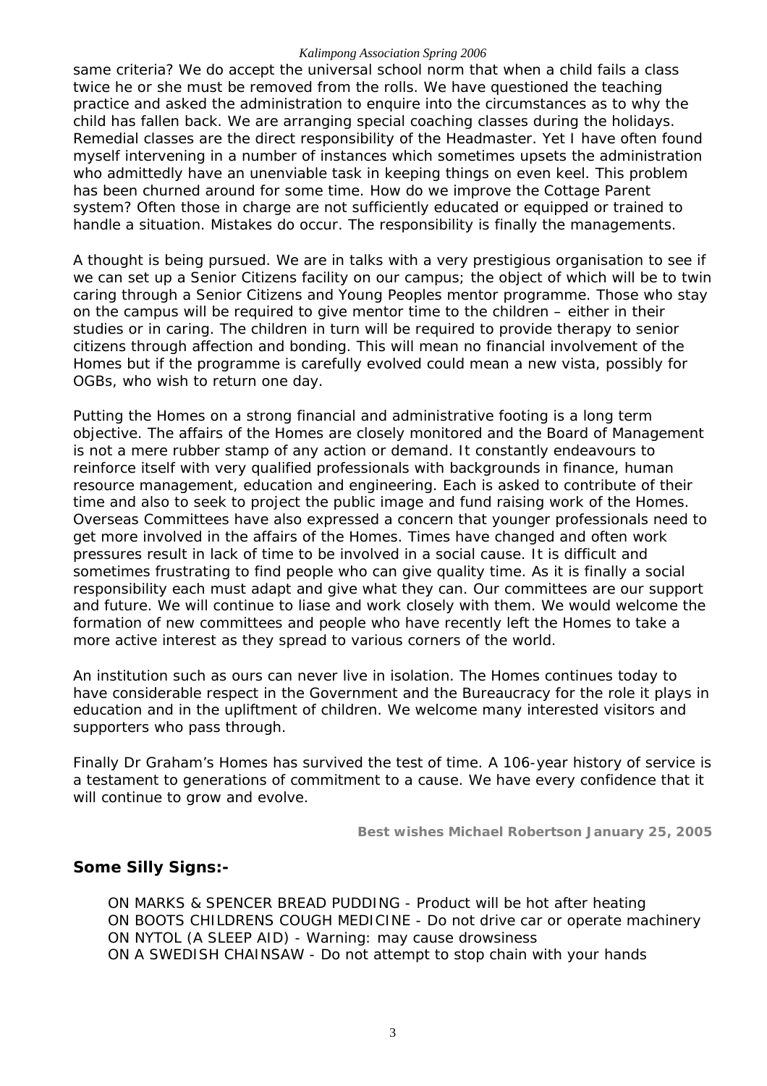same criteria? We do accept the universal school norm that when a child fails a class twice he or she must be removed from the rolls. We have questioned the teaching practice and asked the administration to enquire into the circumstances as to why the child has fallen back. We are arranging special coaching classes during the holidays. Remedial classes are the direct responsibility of the Headmaster. Yet I have often found myself intervening in a number of instances which sometimes upsets the administration who admittedly have an unenviable task in keeping things on even keel. This problem has been churned around for some time. How do we improve the Cottage Parent system? Often those in charge are not sufficiently educated or equipped or trained to handle a situation. Mistakes do occur. The responsibility is finally the managements.

A thought is being pursued. We are in talks with a very prestigious organisation to see if we can set up a Senior Citizens facility on our campus; the object of which will be to twin caring through a Senior Citizens and Young Peoples mentor programme. Those who stay on the campus will be required to give mentor time to the children – either in their studies or in caring. The children in turn will be required to provide therapy to senior citizens through affection and bonding. This will mean no financial involvement of the Homes but if the programme is carefully evolved could mean a new vista, possibly for OGBs, who wish to return one day.

Putting the Homes on a strong financial and administrative footing is a long term objective. The affairs of the Homes are closely monitored and the Board of Management is not a mere rubber stamp of any action or demand. It constantly endeavours to reinforce itself with very qualified professionals with backgrounds in finance, human resource management, education and engineering. Each is asked to contribute of their time and also to seek to project the public image and fund raising work of the Homes. Overseas Committees have also expressed a concern that younger professionals need to get more involved in the affairs of the Homes. Times have changed and often work pressures result in lack of time to be involved in a social cause. It is difficult and sometimes frustrating to find people who can give quality time. As it is finally a social responsibility each must adapt and give what they can. Our committees are our support and future. We will continue to liase and work closely with them. We would welcome the formation of new committees and people who have recently left the Homes to take a more active interest as they spread to various corners of the world.

An institution such as ours can never live in isolation. The Homes continues today to have considerable respect in the Government and the Bureaucracy for the role it plays in education and in the upliftment of children. We welcome many interested visitors and supporters who pass through.

Finally Dr Graham's Homes has survived the test of time. A 106-year history of service is a testament to generations of commitment to a cause. We have every confidence that it will continue to grow and evolve.

*Best wishes Michael Robertson January 25, 2005* 

# **Some Silly Signs:-**

ON MARKS & SPENCER BREAD PUDDING - Product will be hot after heating ON BOOTS CHILDRENS COUGH MEDICINE - Do not drive car or operate machinery ON NYTOL (A SLEEP AID) - Warning: may cause drowsiness ON A SWEDISH CHAINSAW - Do not attempt to stop chain with your hands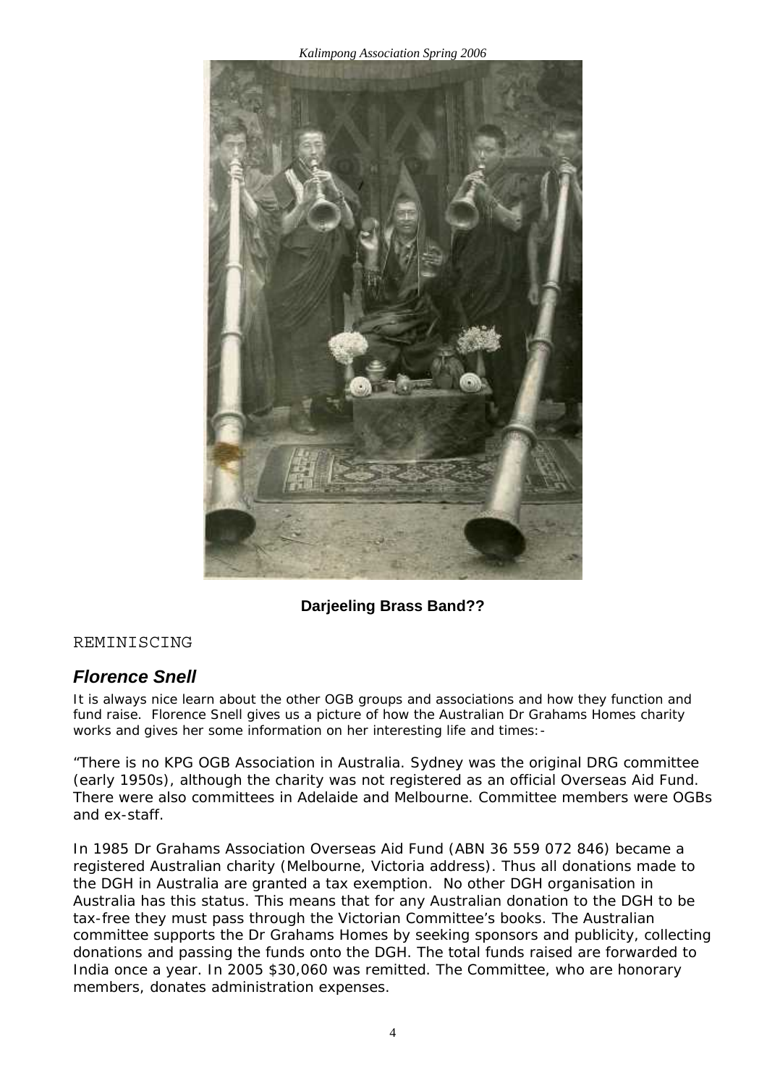<span id="page-3-0"></span>*Kalimpong Association Spring 2006*



**Darjeeling Brass Band??** 

# REMINISCING

# *Florence Snell*

*It is always nice learn about the other OGB groups and associations and how they function and fund raise. Florence Snell gives us a picture of how the Australian Dr Grahams Homes charity works and gives her some information on her interesting life and times:-* 

"There is no KPG OGB Association in Australia. Sydney was the original DRG committee (early 1950s), although the charity was not registered as an official Overseas Aid Fund. There were also committees in Adelaide and Melbourne. Committee members were OGBs and ex-staff.

In 1985 Dr Grahams Association Overseas Aid Fund (ABN 36 559 072 846) became a registered Australian charity (Melbourne, Victoria address). Thus all donations made to the DGH in Australia are granted a tax exemption. No other DGH organisation in Australia has this status. This means that for any Australian donation to the DGH to be tax-free they must pass through the Victorian Committee's books. The Australian committee supports the Dr Grahams Homes by seeking sponsors and publicity, collecting donations and passing the funds onto the DGH. The total funds raised are forwarded to India once a year. In 2005 \$30,060 was remitted. The Committee, who are honorary members, donates administration expenses.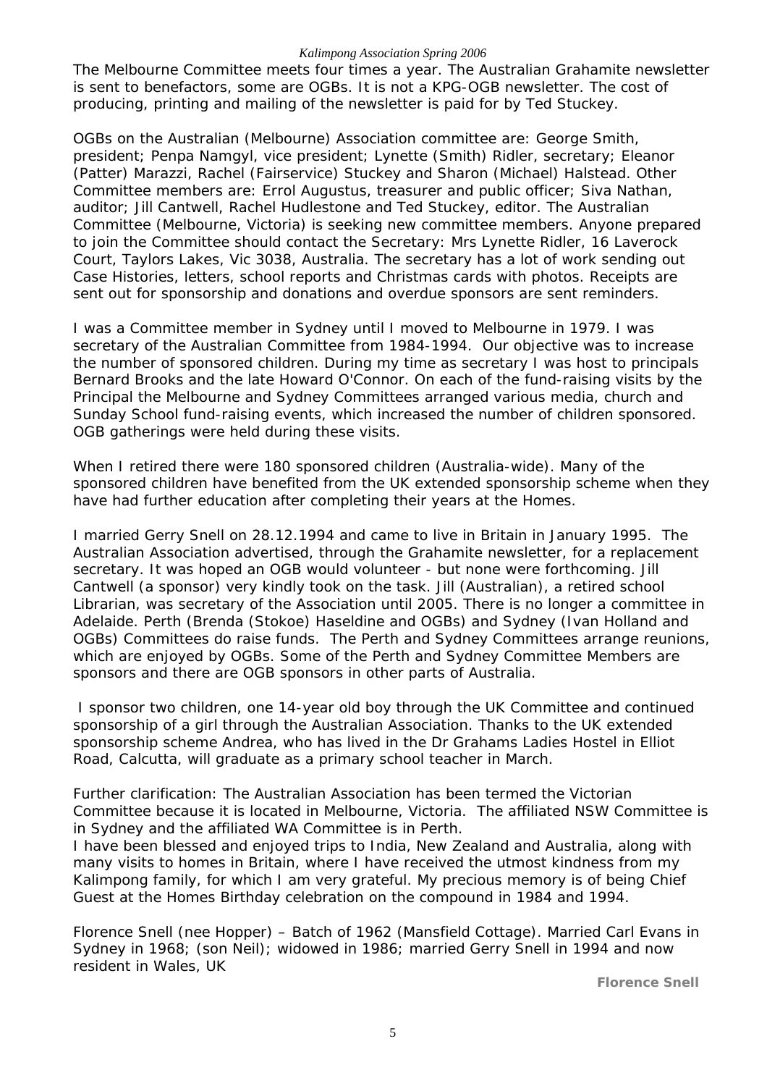The Melbourne Committee meets four times a year. The Australian Grahamite newsletter is sent to benefactors, some are OGBs. It is not a KPG-OGB newsletter. The cost of producing, printing and mailing of the newsletter is paid for by Ted Stuckey.

OGBs on the Australian (Melbourne) Association committee are: George Smith, president; Penpa Namgyl, vice president; Lynette (Smith) Ridler, secretary; Eleanor (Patter) Marazzi, Rachel (Fairservice) Stuckey and Sharon (Michael) Halstead. Other Committee members are: Errol Augustus, treasurer and public officer; Siva Nathan, auditor; Jill Cantwell, Rachel Hudlestone and Ted Stuckey, editor. The Australian Committee (Melbourne, Victoria) is seeking new committee members. Anyone prepared to join the Committee should contact the Secretary: Mrs Lynette Ridler, 16 Laverock Court, Taylors Lakes, Vic 3038, Australia. The secretary has a lot of work sending out Case Histories, letters, school reports and Christmas cards with photos. Receipts are sent out for sponsorship and donations and overdue sponsors are sent reminders.

I was a Committee member in Sydney until I moved to Melbourne in 1979. I was secretary of the Australian Committee from 1984-1994. Our objective was to increase the number of sponsored children. During my time as secretary I was host to principals Bernard Brooks and the late Howard O'Connor. On each of the fund-raising visits by the Principal the Melbourne and Sydney Committees arranged various media, church and Sunday School fund-raising events, which increased the number of children sponsored. OGB gatherings were held during these visits.

When I retired there were 180 sponsored children (Australia-wide). Many of the sponsored children have benefited from the UK extended sponsorship scheme when they have had further education after completing their years at the Homes.

I married Gerry Snell on 28.12.1994 and came to live in Britain in January 1995. The Australian Association advertised, through the Grahamite newsletter, for a replacement secretary. It was hoped an OGB would volunteer - but none were forthcoming. Jill Cantwell (a sponsor) very kindly took on the task. Jill (Australian), a retired school Librarian, was secretary of the Association until 2005. There is no longer a committee in Adelaide. Perth (Brenda (Stokoe) Haseldine and OGBs) and Sydney (Ivan Holland and OGBs) Committees do raise funds. The Perth and Sydney Committees arrange reunions, which are enjoyed by OGBs. Some of the Perth and Sydney Committee Members are sponsors and there are OGB sponsors in other parts of Australia.

 I sponsor two children, one 14-year old boy through the UK Committee and continued sponsorship of a girl through the Australian Association. Thanks to the UK extended sponsorship scheme Andrea, who has lived in the Dr Grahams Ladies Hostel in Elliot Road, Calcutta, will graduate as a primary school teacher in March.

Further clarification: The Australian Association has been termed the Victorian Committee because it is located in Melbourne, Victoria. The affiliated NSW Committee is in Sydney and the affiliated WA Committee is in Perth.

I have been blessed and enjoyed trips to India, New Zealand and Australia, along with many visits to homes in Britain, where I have received the utmost kindness from my Kalimpong family, for which I am very grateful. My precious memory is of being Chief Guest at the Homes Birthday celebration on the compound in 1984 and 1994.

Florence Snell (nee Hopper) – Batch of 1962 (Mansfield Cottage). Married Carl Evans in Sydney in 1968; (son Neil); widowed in 1986; married Gerry Snell in 1994 and now resident in Wales, UK

*Florence Snell*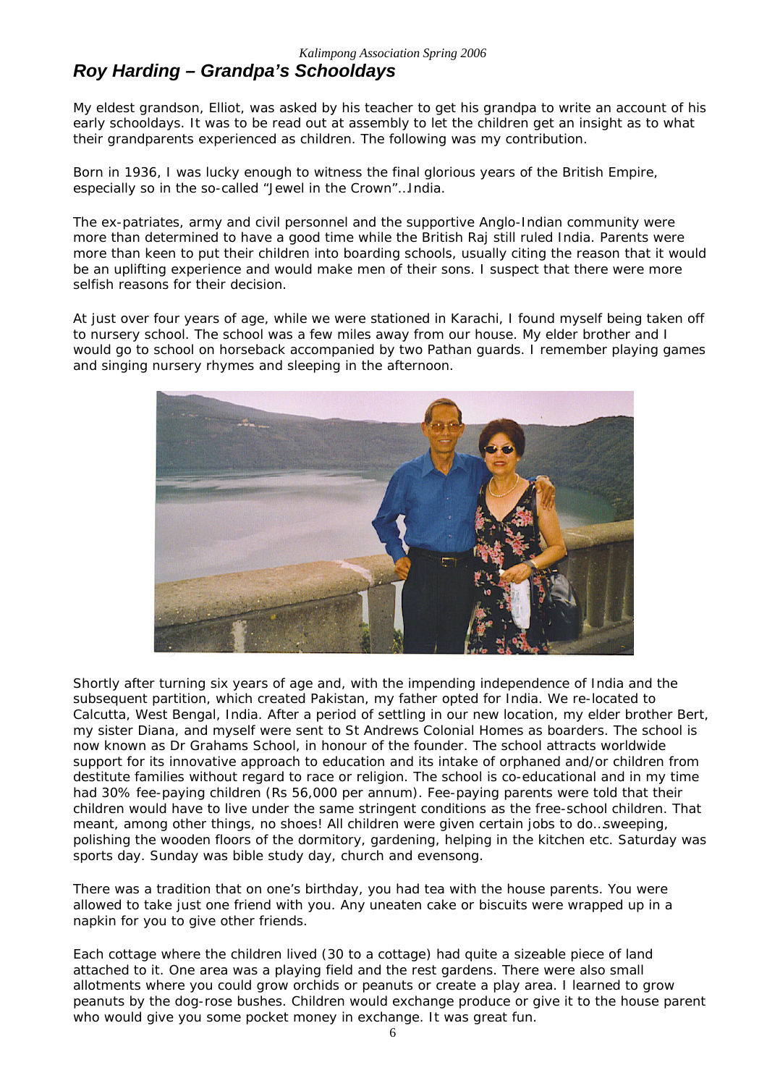<span id="page-5-0"></span>My eldest grandson, Elliot, was asked by his teacher to get his grandpa to write an account of his early schooldays. It was to be read out at assembly to let the children get an insight as to what their grandparents experienced as children. The following was my contribution.

Born in 1936, I was lucky enough to witness the final glorious years of the British Empire, especially so in the so-called "Jewel in the Crown"…India.

The ex-patriates, army and civil personnel and the supportive Anglo-Indian community were more than determined to have a good time while the British Raj still ruled India. Parents were more than keen to put their children into boarding schools, usually citing the reason that it would be an uplifting experience and would make men of their sons. I suspect that there were more selfish reasons for their decision.

At just over four years of age, while we were stationed in Karachi, I found myself being taken off to nursery school. The school was a few miles away from our house. My elder brother and I would go to school on horseback accompanied by two Pathan guards. I remember playing games and singing nursery rhymes and sleeping in the afternoon.



Shortly after turning six years of age and, with the impending independence of India and the subsequent partition, which created Pakistan, my father opted for India. We re-located to Calcutta, West Bengal, India. After a period of settling in our new location, my elder brother Bert, my sister Diana, and myself were sent to St Andrews Colonial Homes as boarders. The school is now known as Dr Grahams School, in honour of the founder. The school attracts worldwide support for its innovative approach to education and its intake of orphaned and/or children from destitute families without regard to race or religion. The school is co-educational and in my time had 30% fee-paying children (Rs 56,000 per annum). Fee-paying parents were told that their children would have to live under the same stringent conditions as the free-school children. That meant, among other things, no shoes! All children were given certain jobs to do…sweeping, polishing the wooden floors of the dormitory, gardening, helping in the kitchen etc. Saturday was sports day. Sunday was bible study day, church and evensong.

There was a tradition that on one's birthday, you had tea with the house parents. You were allowed to take just one friend with you. Any uneaten cake or biscuits were wrapped up in a napkin for you to give other friends.

Each cottage where the children lived (30 to a cottage) had quite a sizeable piece of land attached to it. One area was a playing field and the rest gardens. There were also small allotments where you could grow orchids or peanuts or create a play area. I learned to grow peanuts by the dog-rose bushes. Children would exchange produce or give it to the house parent who would give you some pocket money in exchange. It was great fun.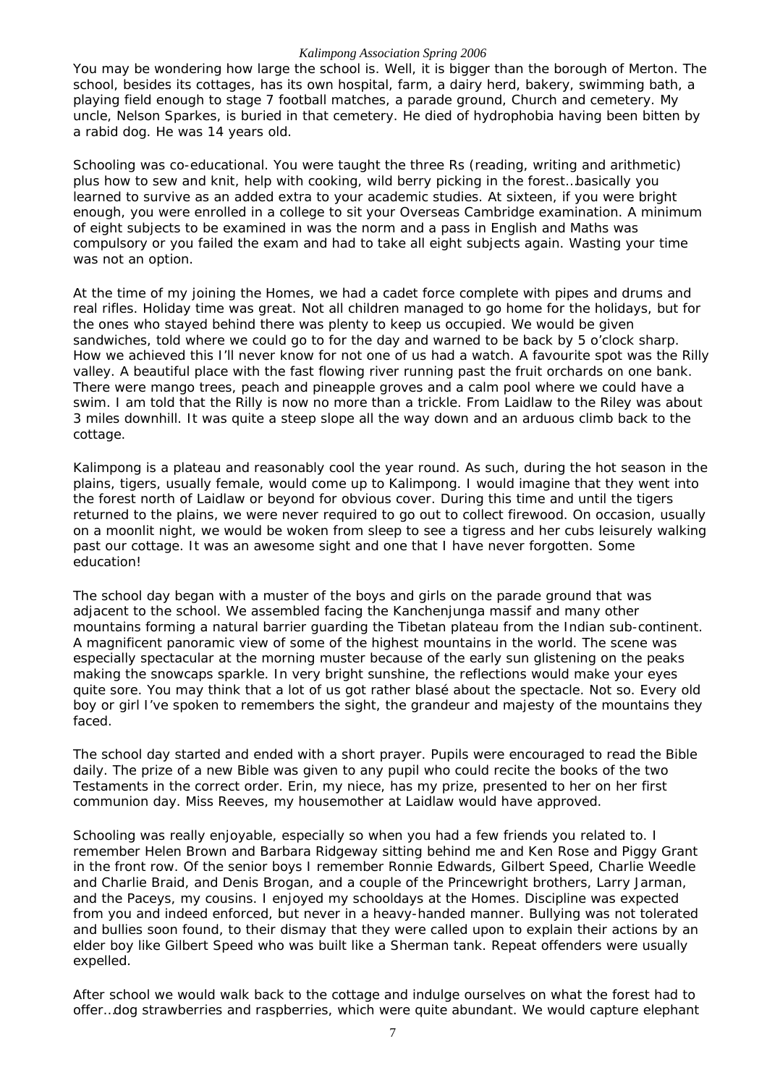You may be wondering how large the school is. Well, it is bigger than the borough of Merton. The school, besides its cottages, has its own hospital, farm, a dairy herd, bakery, swimming bath, a playing field enough to stage 7 football matches, a parade ground, Church and cemetery. My uncle, Nelson Sparkes, is buried in that cemetery. He died of hydrophobia having been bitten by a rabid dog. He was 14 years old.

Schooling was co-educational. You were taught the three Rs (reading, writing and arithmetic) plus how to sew and knit, help with cooking, wild berry picking in the forest…basically you learned to survive as an added extra to your academic studies. At sixteen, if you were bright enough, you were enrolled in a college to sit your Overseas Cambridge examination. A minimum of eight subjects to be examined in was the norm and a pass in English and Maths was compulsory or you failed the exam and had to take all eight subjects again. Wasting your time was not an option.

At the time of my joining the Homes, we had a cadet force complete with pipes and drums and real rifles. Holiday time was great. Not all children managed to go home for the holidays, but for the ones who stayed behind there was plenty to keep us occupied. We would be given sandwiches, told where we could go to for the day and warned to be back by 5 o'clock sharp. How we achieved this I'll never know for not one of us had a watch. A favourite spot was the Rilly valley. A beautiful place with the fast flowing river running past the fruit orchards on one bank. There were mango trees, peach and pineapple groves and a calm pool where we could have a swim. I am told that the Rilly is now no more than a trickle. From Laidlaw to the Riley was about 3 miles downhill. It was quite a steep slope all the way down and an arduous climb back to the cottage.

Kalimpong is a plateau and reasonably cool the year round. As such, during the hot season in the plains, tigers, usually female, would come up to Kalimpong. I would imagine that they went into the forest north of Laidlaw or beyond for obvious cover. During this time and until the tigers returned to the plains, we were never required to go out to collect firewood. On occasion, usually on a moonlit night, we would be woken from sleep to see a tigress and her cubs leisurely walking past our cottage. It was an awesome sight and one that I have never forgotten. Some education!

The school day began with a muster of the boys and girls on the parade ground that was adjacent to the school. We assembled facing the Kanchenjunga massif and many other mountains forming a natural barrier guarding the Tibetan plateau from the Indian sub-continent. A magnificent panoramic view of some of the highest mountains in the world. The scene was especially spectacular at the morning muster because of the early sun glistening on the peaks making the snowcaps sparkle. In very bright sunshine, the reflections would make your eyes quite sore. You may think that a lot of us got rather blasé about the spectacle. Not so. Every old boy or girl I've spoken to remembers the sight, the grandeur and majesty of the mountains they faced.

The school day started and ended with a short prayer. Pupils were encouraged to read the Bible daily. The prize of a new Bible was given to any pupil who could recite the books of the two Testaments in the correct order. Erin, my niece, has my prize, presented to her on her first communion day. Miss Reeves, my housemother at Laidlaw would have approved.

Schooling was really enjoyable, especially so when you had a few friends you related to. I remember Helen Brown and Barbara Ridgeway sitting behind me and Ken Rose and Piggy Grant in the front row. Of the senior boys I remember Ronnie Edwards, Gilbert Speed, Charlie Weedle and Charlie Braid, and Denis Brogan, and a couple of the Princewright brothers, Larry Jarman, and the Paceys, my cousins. I enjoyed my schooldays at the Homes. Discipline was expected from you and indeed enforced, but never in a heavy-handed manner. Bullying was not tolerated and bullies soon found, to their dismay that they were called upon to explain their actions by an elder boy like Gilbert Speed who was built like a Sherman tank. Repeat offenders were usually expelled.

After school we would walk back to the cottage and indulge ourselves on what the forest had to offer…dog strawberries and raspberries, which were quite abundant. We would capture elephant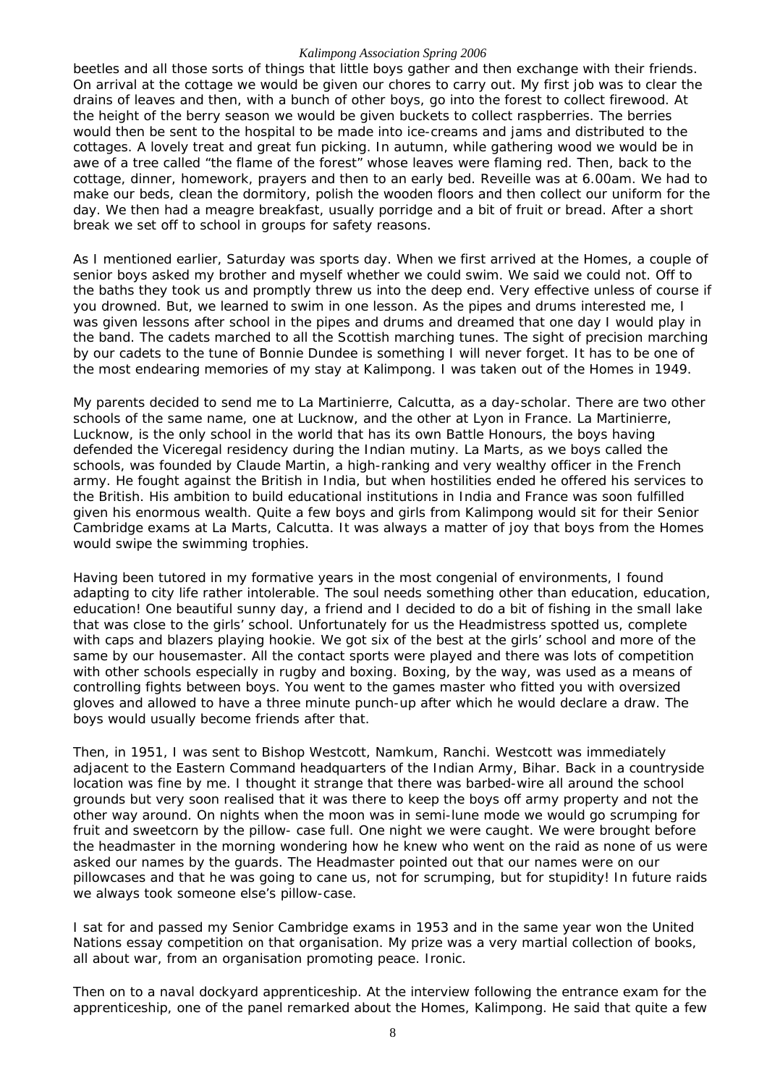beetles and all those sorts of things that little boys gather and then exchange with their friends. On arrival at the cottage we would be given our chores to carry out. My first job was to clear the drains of leaves and then, with a bunch of other boys, go into the forest to collect firewood. At the height of the berry season we would be given buckets to collect raspberries. The berries would then be sent to the hospital to be made into ice-creams and jams and distributed to the cottages. A lovely treat and great fun picking. In autumn, while gathering wood we would be in awe of a tree called "the flame of the forest" whose leaves were flaming red. Then, back to the cottage, dinner, homework, prayers and then to an early bed. Reveille was at 6.00am. We had to make our beds, clean the dormitory, polish the wooden floors and then collect our uniform for the day. We then had a meagre breakfast, usually porridge and a bit of fruit or bread. After a short break we set off to school in groups for safety reasons.

As I mentioned earlier, Saturday was sports day. When we first arrived at the Homes, a couple of senior boys asked my brother and myself whether we could swim. We said we could not. Off to the baths they took us and promptly threw us into the deep end. Very effective unless of course if you drowned. But, we learned to swim in one lesson. As the pipes and drums interested me, I was given lessons after school in the pipes and drums and dreamed that one day I would play in the band. The cadets marched to all the Scottish marching tunes. The sight of precision marching by our cadets to the tune of Bonnie Dundee is something I will never forget. It has to be one of the most endearing memories of my stay at Kalimpong. I was taken out of the Homes in 1949.

My parents decided to send me to La Martinierre, Calcutta, as a day-scholar. There are two other schools of the same name, one at Lucknow, and the other at Lyon in France. La Martinierre, Lucknow, is the only school in the world that has its own Battle Honours, the boys having defended the Viceregal residency during the Indian mutiny. La Marts, as we boys called the schools, was founded by Claude Martin, a high-ranking and very wealthy officer in the French army. He fought against the British in India, but when hostilities ended he offered his services to the British. His ambition to build educational institutions in India and France was soon fulfilled given his enormous wealth. Quite a few boys and girls from Kalimpong would sit for their Senior Cambridge exams at La Marts, Calcutta. It was always a matter of joy that boys from the Homes would swipe the swimming trophies.

Having been tutored in my formative years in the most congenial of environments, I found adapting to city life rather intolerable. The soul needs something other than education, education, education! One beautiful sunny day, a friend and I decided to do a bit of fishing in the small lake that was close to the girls' school. Unfortunately for us the Headmistress spotted us, complete with caps and blazers playing hookie. We got six of the best at the girls' school and more of the same by our housemaster. All the contact sports were played and there was lots of competition with other schools especially in rugby and boxing. Boxing, by the way, was used as a means of controlling fights between boys. You went to the games master who fitted you with oversized gloves and allowed to have a three minute punch-up after which he would declare a draw. The boys would usually become friends after that.

Then, in 1951, I was sent to Bishop Westcott, Namkum, Ranchi. Westcott was immediately adjacent to the Eastern Command headquarters of the Indian Army, Bihar. Back in a countryside location was fine by me. I thought it strange that there was barbed-wire all around the school grounds but very soon realised that it was there to keep the boys off army property and not the other way around. On nights when the moon was in semi-lune mode we would go scrumping for fruit and sweetcorn by the pillow- case full. One night we were caught. We were brought before the headmaster in the morning wondering how he knew who went on the raid as none of us were asked our names by the guards. The Headmaster pointed out that our names were on our pillowcases and that he was going to cane us, not for scrumping, but for stupidity! In future raids we always took someone else's pillow-case.

I sat for and passed my Senior Cambridge exams in 1953 and in the same year won the United Nations essay competition on that organisation. My prize was a very martial collection of books, all about war, from an organisation promoting peace. Ironic.

Then on to a naval dockyard apprenticeship. At the interview following the entrance exam for the apprenticeship, one of the panel remarked about the Homes, Kalimpong. He said that quite a few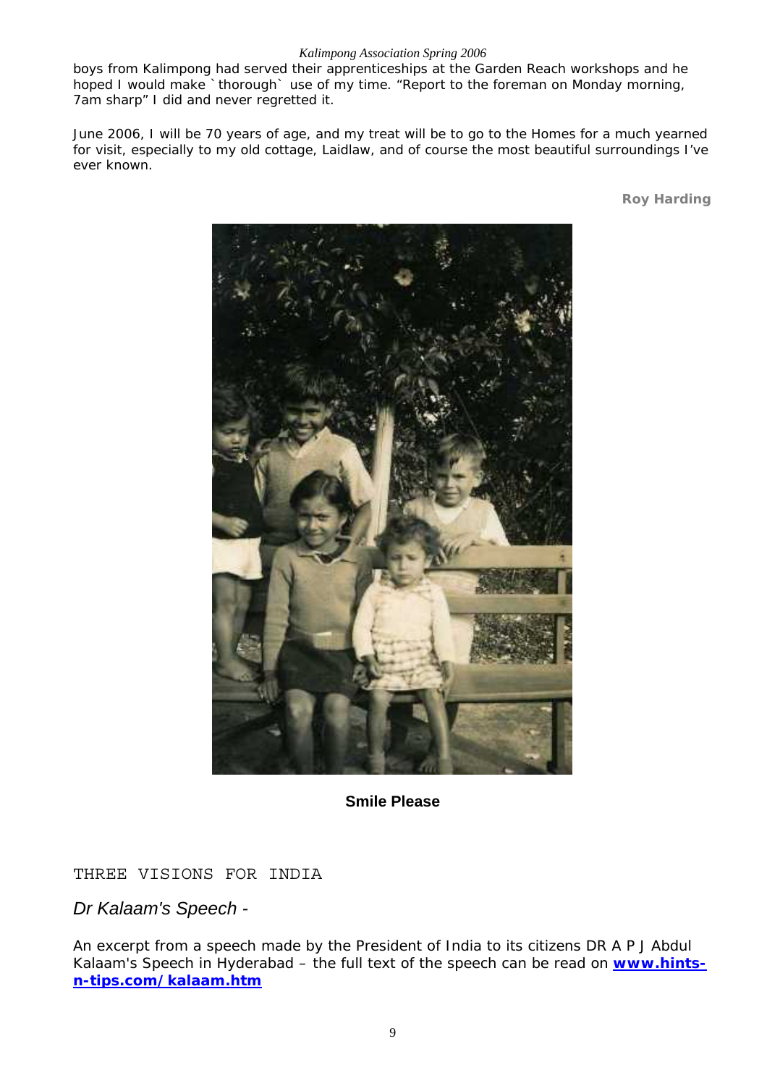<span id="page-8-0"></span>boys from Kalimpong had served their apprenticeships at the Garden Reach workshops and he hoped I would make `thorough` use of my time. "Report to the foreman on Monday morning, 7am sharp" I did and never regretted it.

June 2006, I will be 70 years of age, and my treat will be to go to the Homes for a much yearned for visit, especially to my old cottage, Laidlaw, and of course the most beautiful surroundings I've ever known.

*Roy Harding* 



**Smile Please** 

## THREE VISIONS FOR INDIA

# *Dr Kalaam's Speech -*

An excerpt from a speech made by the President of India to its citizens DR A P J Abdul Kalaam's Speech in Hyderabad – the full text of the speech can be read on **www.hintsn-tips.com/kalaam.htm**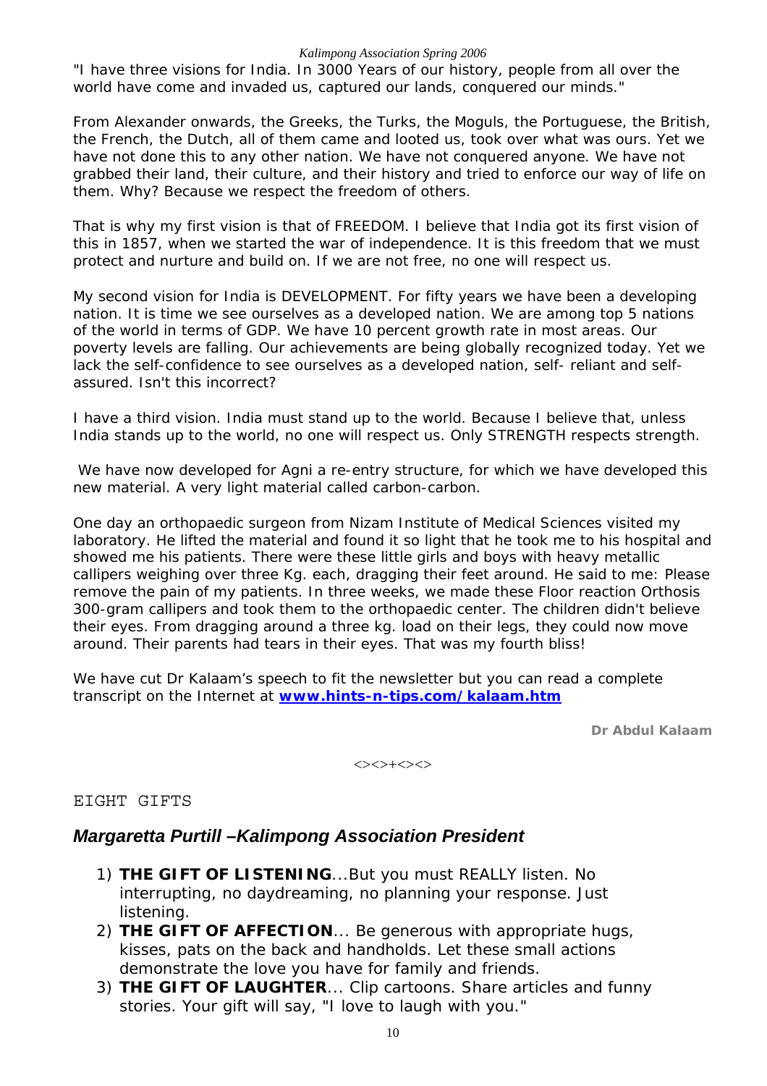<span id="page-9-0"></span>"I have three visions for India. In 3000 Years of our history, people from all over the world have come and invaded us, captured our lands, conquered our minds."

From Alexander onwards, the Greeks, the Turks, the Moguls, the Portuguese, the British, the French, the Dutch, all of them came and looted us, took over what was ours. Yet we have not done this to any other nation. We have not conquered anyone. We have not grabbed their land, their culture, and their history and tried to enforce our way of life on them. Why? Because we respect the freedom of others.

That is why my first vision is that of FREEDOM. I believe that India got its first vision of this in 1857, when we started the war of independence. It is this freedom that we must protect and nurture and build on. If we are not free, no one will respect us.

My second vision for India is DEVELOPMENT. For fifty years we have been a developing nation. It is time we see ourselves as a developed nation. We are among top 5 nations of the world in terms of GDP. We have 10 percent growth rate in most areas. Our poverty levels are falling. Our achievements are being globally recognized today. Yet we lack the self-confidence to see ourselves as a developed nation, self- reliant and selfassured. Isn't this incorrect?

I have a third vision. India must stand up to the world. Because I believe that, unless India stands up to the world, no one will respect us. Only STRENGTH respects strength.

 We have now developed for Agni a re-entry structure, for which we have developed this new material. A very light material called carbon-carbon.

One day an orthopaedic surgeon from Nizam Institute of Medical Sciences visited my laboratory. He lifted the material and found it so light that he took me to his hospital and showed me his patients. There were these little girls and boys with heavy metallic callipers weighing over three Kg. each, dragging their feet around. He said to me: Please remove the pain of my patients. In three weeks, we made these Floor reaction Orthosis 300-gram callipers and took them to the orthopaedic center. The children didn't believe their eyes. From dragging around a three kg. load on their legs, they could now move around. Their parents had tears in their eyes. That was my fourth bliss!

We have cut Dr Kalaam's speech to fit the newsletter but you can read a complete transcript on the Internet at **[www.hints-n-tips.com/kalaam.htm](http://www.hints-n-tips.com/kalaam.htm)**

*Dr Abdul Kalaam* 

 $\Leftrightarrow$ 

## EIGHT GIFTS

# *Margaretta Purtill –Kalimpong Association President*

- 1) **THE GIFT OF LISTENING**...But you must REALLY listen. No interrupting, no daydreaming, no planning your response. Just listening.
- 2) **THE GIFT OF AFFECTION**... Be generous with appropriate hugs, kisses, pats on the back and handholds. Let these small actions demonstrate the love you have for family and friends.
- 3) **THE GIFT OF LAUGHTER**... Clip cartoons. Share articles and funny stories. Your gift will say, "I love to laugh with you."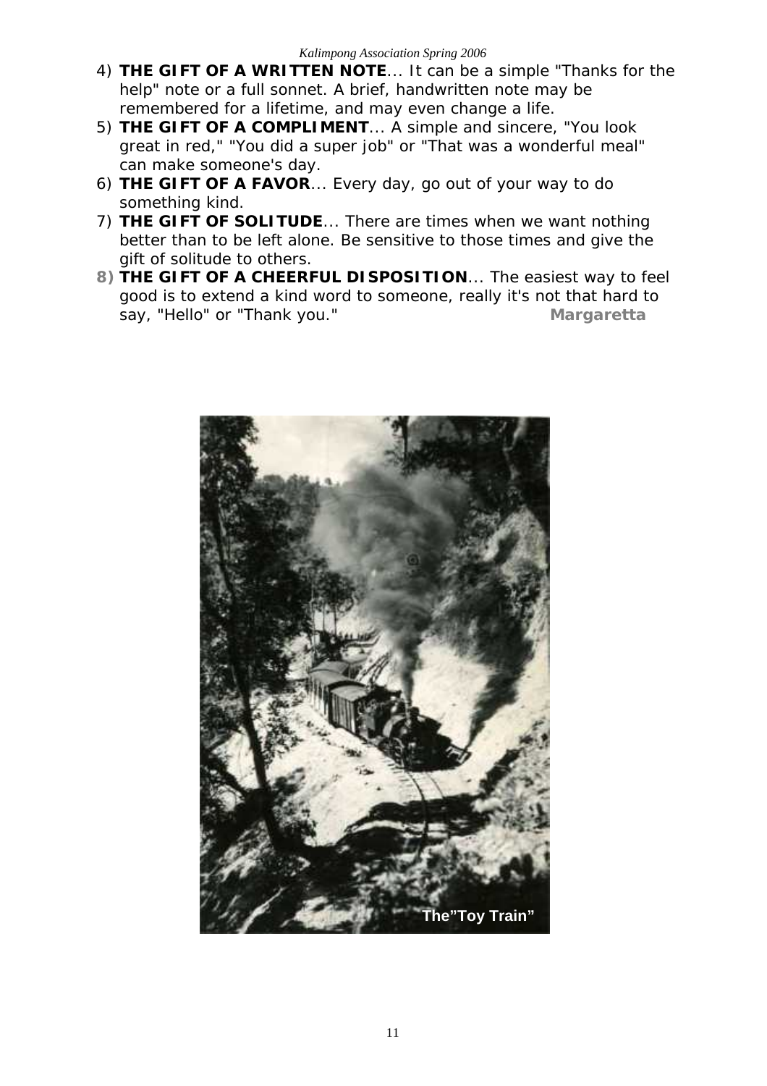- 4) **THE GIFT OF A WRITTEN NOTE**... It can be a simple "Thanks for the help" note or a full sonnet. A brief, handwritten note may be remembered for a lifetime, and may even change a life.
- 5) **THE GIFT OF A COMPLIMENT**... A simple and sincere, "You look great in red," "You did a super job" or "That was a wonderful meal" can make someone's day.
- 6) **THE GIFT OF A FAVOR**... Every day, go out of your way to do something kind.
- 7) **THE GIFT OF SOLITUDE**... There are times when we want nothing better than to be left alone. Be sensitive to those times and give the gift of solitude to others.
- *8)* **THE GIFT OF A CHEERFUL DISPOSITION**... The easiest way to feel good is to extend a kind word to someone, really it's not that hard to say, "Hello" or "Thank you." *Margaretta*

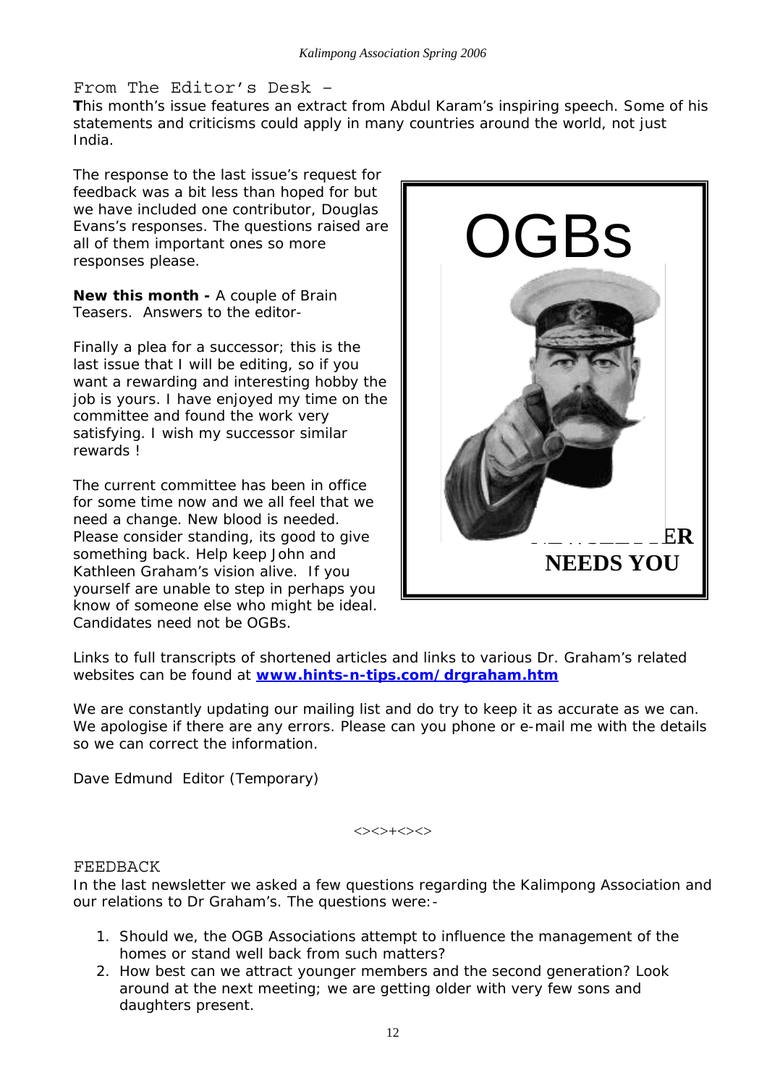<span id="page-11-0"></span>From The Editor's Desk –

**T**his month's issue features an extract from Abdul Karam's inspiring speech. Some of his statements and criticisms could apply in many countries around the world, not just India.

The response to the last issue's request for feedback was a bit less than hoped for but we have included one contributor, Douglas Evans's responses. The questions raised are all of them important ones so more Evans's responses. The questions raised are all of them important ones so more

**New this month -** A couple of Brain Teasers. Answers to the editor-

Finally a plea for a successor; this is the last issue that I will be editing, so if you want a rewarding and interesting hobby the job is yours. I have enjoyed my time on the committee and found the work very satisfying. I wish my successor similar rewards !

The current committee has been in office for some time now and we all feel that we need a change. New blood is needed. Please consider standing, its good to give something back. Help keep John and Kathleen Graham's vision alive. If you yourself are unable to step in perhaps you know of someone else who might be ideal. Candidates need not be OGBs.



Links to full transcripts of shortened articles and links to various Dr. Graham's related websites can be found at **[www.hints-n-tips.com/drgraham.htm](http://www.hints-n-tips.com/drgraham.htm)**

We are constantly updating our mailing list and do try to keep it as accurate as we can. We apologise if there are any errors. Please can you phone or e-mail me with the details so we can correct the information.

*Dave Edmund Editor (Temporary)*

 $\Leftrightarrow$   $\Leftrightarrow$   $\Leftrightarrow$   $\Leftrightarrow$   $\Leftrightarrow$ 

## FEEDBACK

In the last newsletter we asked a few questions regarding the Kalimpong Association and our relations to Dr Graham's. The questions were:-

- 1. Should we, the OGB Associations attempt to influence the management of the homes or stand well back from such matters?
- 2. How best can we attract younger members and the second generation? Look around at the next meeting; we are getting older with very few sons and daughters present.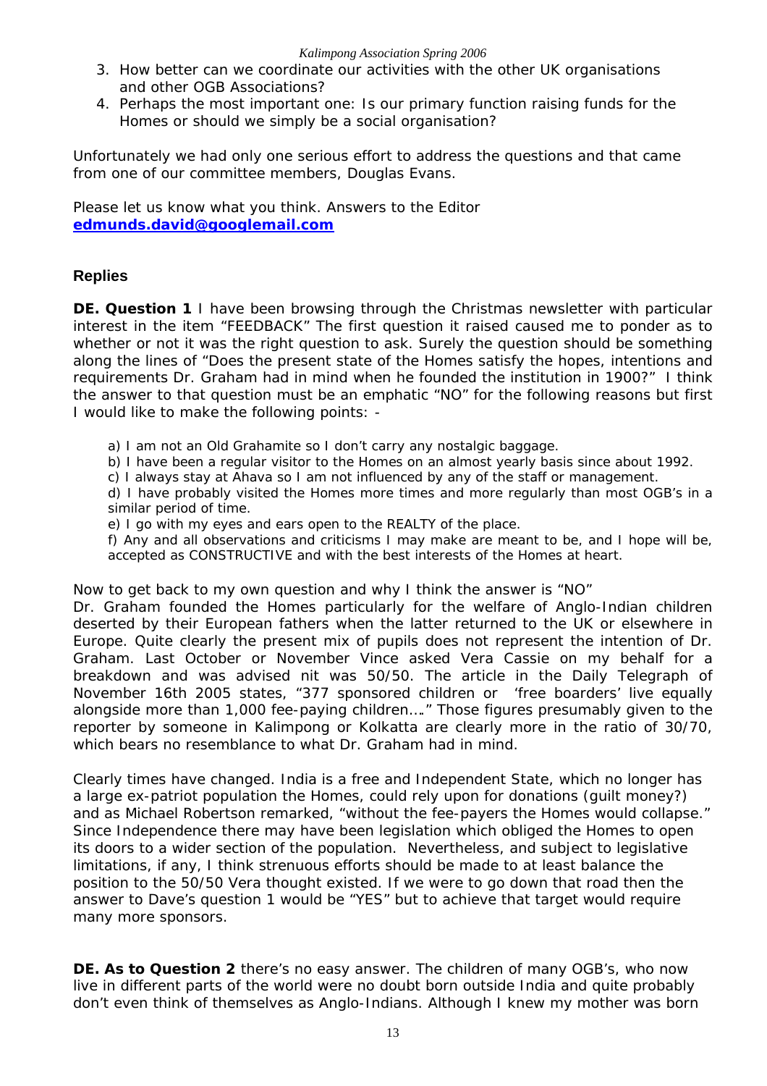- 3. How better can we coordinate our activities with the other UK organisations and other OGB Associations?
- 4. Perhaps the most important one: Is our primary function raising funds for the Homes or should we simply be a social organisation?

Unfortunately we had only one serious effort to address the questions and that came from one of our committee members, Douglas Evans.

Please let us know what you think. Answers to the Editor **[edmunds.david@googlemail.com](mailto:edmunds.david@googlemail.com)**

# **Replies**

**DE. Question 1** I have been browsing through the Christmas newsletter with particular interest in the item "FEEDBACK" The first question it raised caused me to ponder as to whether or not it was the right question to ask. Surely the question should be something along the lines of "Does the present state of the Homes satisfy the hopes, intentions and requirements Dr. Graham had in mind when he founded the institution in 1900?" I think the answer to that question must be an emphatic "NO" for the following reasons but first I would like to make the following points: -

a) I am not an Old Grahamite so I don't carry any nostalgic baggage.

b) I have been a regular visitor to the Homes on an almost yearly basis since about 1992.

c) I always stay at Ahava so I am not influenced by any of the staff or management.

d) I have probably visited the Homes more times and more regularly than most OGB's in a similar period of time.

e) I go with my eyes and ears open to the REALTY of the place.

f) Any and all observations and criticisms I may make are meant to be, and I hope will be, accepted as CONSTRUCTIVE and with the best interests of the Homes at heart.

Now to get back to my own question and why I think the answer is "NO"

Dr. Graham founded the Homes particularly for the welfare of Anglo-Indian children deserted by their European fathers when the latter returned to the UK or elsewhere in Europe. Quite clearly the present mix of pupils does not represent the intention of Dr. Graham. Last October or November Vince asked Vera Cassie on my behalf for a breakdown and was advised nit was 50/50. The article in the Daily Telegraph of November 16th 2005 states, "377 sponsored children or 'free boarders' live equally alongside more than 1,000 fee-paying children…." Those figures presumably given to the reporter by someone in Kalimpong or Kolkatta are clearly more in the ratio of 30/70, which bears no resemblance to what Dr. Graham had in mind.

Clearly times have changed. India is a free and Independent State, which no longer has a large ex-patriot population the Homes, could rely upon for donations (guilt money?) and as Michael Robertson remarked, "without the fee-payers the Homes would collapse." Since Independence there may have been legislation which obliged the Homes to open its doors to a wider section of the population. Nevertheless, and subject to legislative limitations, if any, I think strenuous efforts should be made to at least balance the position to the 50/50 Vera thought existed. If we were to go down that road then the answer to Dave's question 1 would be "YES" but to achieve that target would require many more sponsors.

**DE. As to Question 2** there's no easy answer. The children of many OGB's, who now live in different parts of the world were no doubt born outside India and quite probably don't even think of themselves as Anglo-Indians. Although I knew my mother was born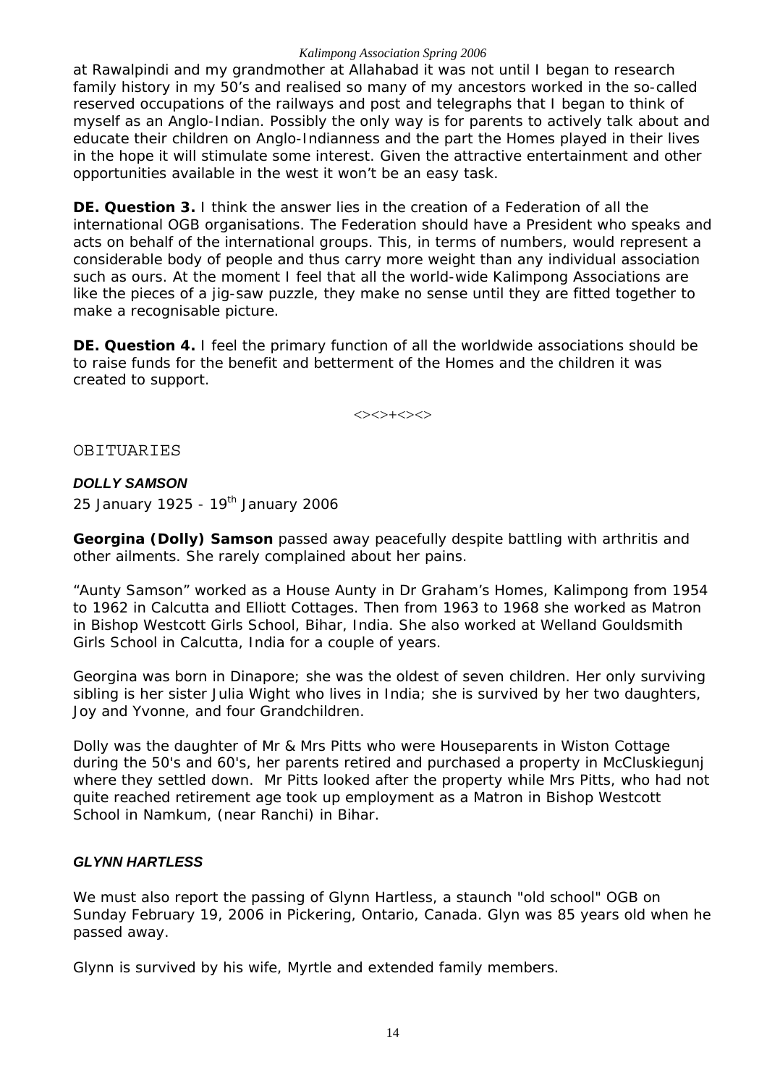<span id="page-13-0"></span>at Rawalpindi and my grandmother at Allahabad it was not until I began to research family history in my 50's and realised so many of my ancestors worked in the so-called reserved occupations of the railways and post and telegraphs that I began to think of myself as an Anglo-Indian. Possibly the only way is for parents to actively talk about and educate their children on Anglo-Indianness and the part the Homes played in their lives in the hope it will stimulate some interest. Given the attractive entertainment and other opportunities available in the west it won't be an easy task.

**DE. Question 3.** I think the answer lies in the creation of a Federation of all the international OGB organisations. The Federation should have a President who speaks and acts on behalf of the international groups. This, in terms of numbers, would represent a considerable body of people and thus carry more weight than any individual association such as ours. At the moment I feel that all the world-wide Kalimpong Associations are like the pieces of a jig-saw puzzle, they make no sense until they are fitted together to make a recognisable picture.

**DE. Question 4.** I feel the primary function of all the worldwide associations should be to raise funds for the benefit and betterment of the Homes and the children it was created to support.

 $\iff$ 

OBITUARIES

## *DOLLY SAMSON*

25 January 1925 - 19<sup>th</sup> January 2006

**Georgina (Dolly) Samson** passed away peacefully despite battling with arthritis and other ailments. She rarely complained about her pains.

"Aunty Samson" worked as a House Aunty in Dr Graham's Homes, Kalimpong from 1954 to 1962 in Calcutta and Elliott Cottages. Then from 1963 to 1968 she worked as Matron in Bishop Westcott Girls School, Bihar, India. She also worked at Welland Gouldsmith Girls School in Calcutta, India for a couple of years.

Georgina was born in Dinapore; she was the oldest of seven children. Her only surviving sibling is her sister Julia Wight who lives in India; she is survived by her two daughters, Joy and Yvonne, and four Grandchildren.

Dolly was the daughter of Mr & Mrs Pitts who were Houseparents in Wiston Cottage during the 50's and 60's, her parents retired and purchased a property in McCluskiegunj where they settled down. Mr Pitts looked after the property while Mrs Pitts, who had not quite reached retirement age took up employment as a Matron in Bishop Westcott School in Namkum, (near Ranchi) in Bihar.

## *GLYNN HARTLESS*

We must also report the passing of Glynn Hartless, a staunch "old school" OGB on Sunday February 19, 2006 in Pickering, Ontario, Canada. Glyn was 85 years old when he passed away.

Glynn is survived by his wife, Myrtle and extended family members.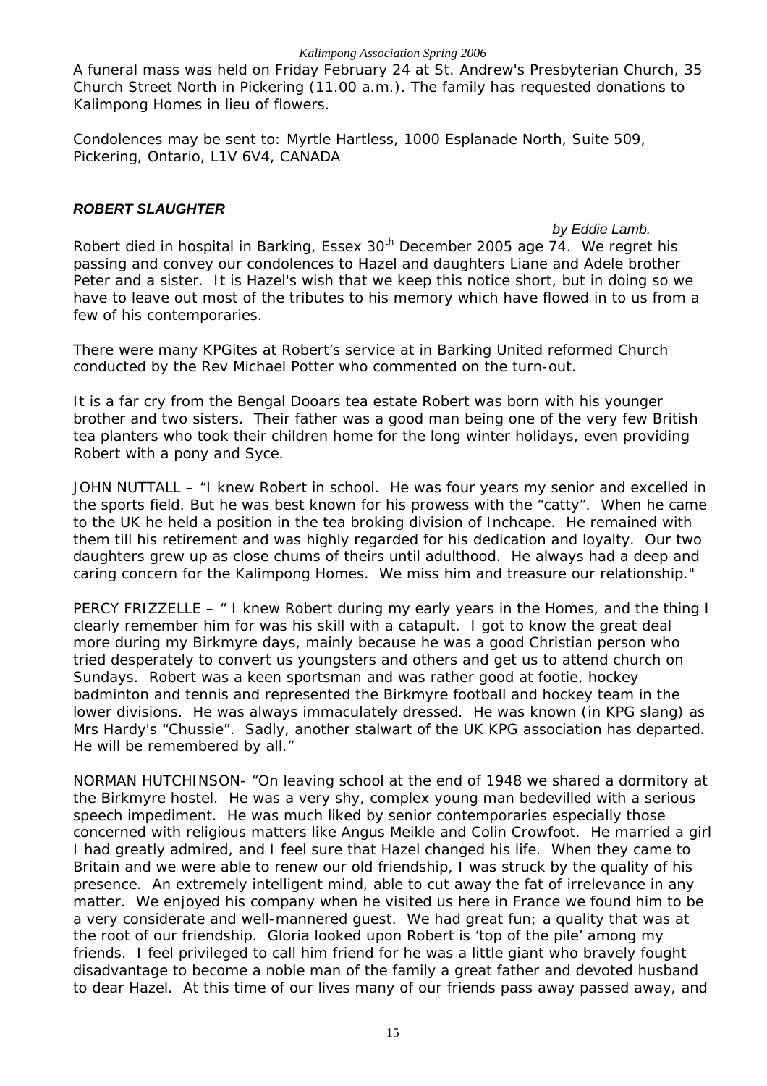<span id="page-14-0"></span>A funeral mass was held on Friday February 24 at St. Andrew's Presbyterian Church, 35 Church Street North in Pickering (11.00 a.m.). The family has requested donations to Kalimpong Homes in lieu of flowers.

Condolences may be sent to: Myrtle Hartless, 1000 Esplanade North, Suite 509, Pickering, Ontario, L1V 6V4, CANADA

## *ROBERT SLAUGHTER*

*by Eddie Lamb.*  Robert died in hospital in Barking, Essex 30<sup>th</sup> December 2005 age 74. We regret his passing and convey our condolences to Hazel and daughters Liane and Adele brother Peter and a sister. It is Hazel's wish that we keep this notice short, but in doing so we have to leave out most of the tributes to his memory which have flowed in to us from a few of his contemporaries.

There were many KPGites at Robert's service at in Barking United reformed Church conducted by the Rev Michael Potter who commented on the turn-out.

It is a far cry from the Bengal Dooars tea estate Robert was born with his younger brother and two sisters. Their father was a good man being one of the very few British tea planters who took their children home for the long winter holidays, even providing Robert with a pony and Syce.

JOHN NUTTALL – "I knew Robert in school. He was four years my senior and excelled in the sports field. But he was best known for his prowess with the "catty". When he came to the UK he held a position in the tea broking division of Inchcape. He remained with them till his retirement and was highly regarded for his dedication and loyalty. Our two daughters grew up as close chums of theirs until adulthood. He always had a deep and caring concern for the Kalimpong Homes. We miss him and treasure our relationship."

PERCY FRIZZELLE – " I knew Robert during my early years in the Homes, and the thing I clearly remember him for was his skill with a catapult. I got to know the great deal more during my Birkmyre days, mainly because he was a good Christian person who tried desperately to convert us youngsters and others and get us to attend church on Sundays. Robert was a keen sportsman and was rather good at footie, hockey badminton and tennis and represented the Birkmyre football and hockey team in the lower divisions. He was always immaculately dressed. He was known (in KPG slang) as Mrs Hardy's "Chussie". Sadly, another stalwart of the UK KPG association has departed. He will be remembered by all."

NORMAN HUTCHINSON- "On leaving school at the end of 1948 we shared a dormitory at the Birkmyre hostel. He was a very shy, complex young man bedevilled with a serious speech impediment. He was much liked by senior contemporaries especially those concerned with religious matters like Angus Meikle and Colin Crowfoot. He married a girl I had greatly admired, and I feel sure that Hazel changed his life. When they came to Britain and we were able to renew our old friendship, I was struck by the quality of his presence. An extremely intelligent mind, able to cut away the fat of irrelevance in any matter. We enjoyed his company when he visited us here in France we found him to be a very considerate and well-mannered guest. We had great fun; a quality that was at the root of our friendship. Gloria looked upon Robert is 'top of the pile' among my friends. I feel privileged to call him friend for he was a little giant who bravely fought disadvantage to become a noble man of the family a great father and devoted husband to dear Hazel. At this time of our lives many of our friends pass away passed away, and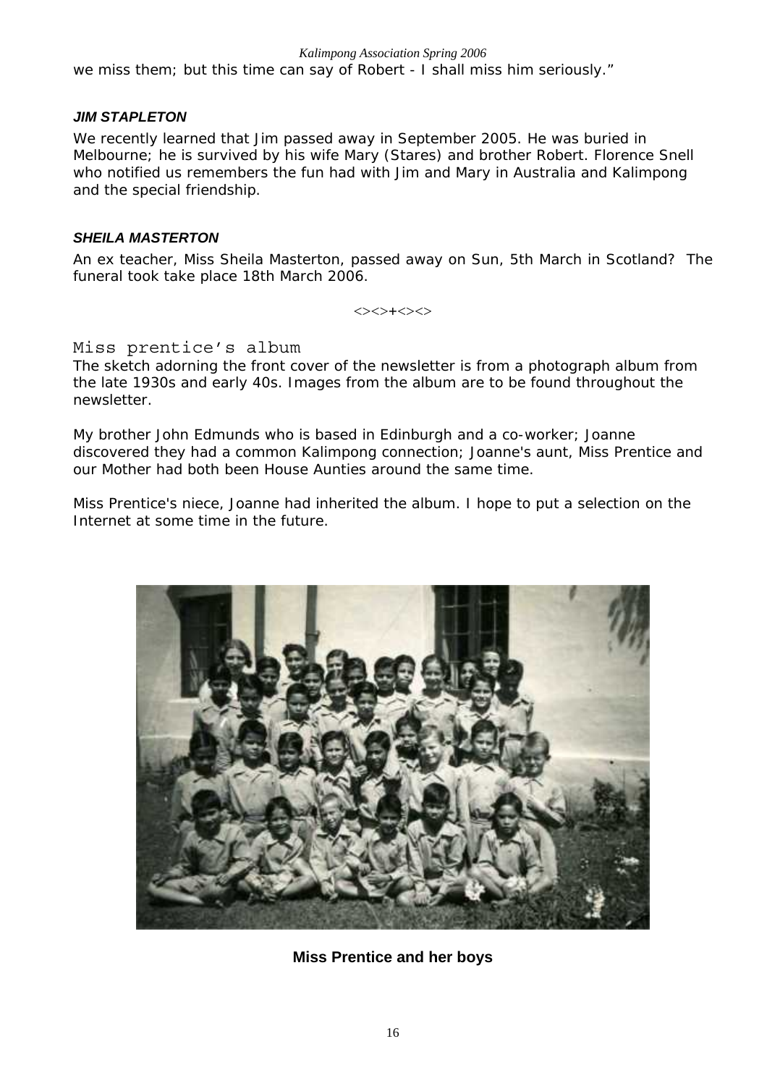#### <span id="page-15-0"></span>*Kalimpong Association Spring 2006* we miss them; but this time can say of Robert - I shall miss him seriously."

## *JIM STAPLETON*

We recently learned that Jim passed away in September 2005. He was buried in Melbourne; he is survived by his wife Mary (Stares) and brother Robert. Florence Snell who notified us remembers the fun had with Jim and Mary in Australia and Kalimpong and the special friendship.

## *SHEILA MASTERTON*

An ex teacher, Miss Sheila Masterton, passed away on Sun, 5th March in Scotland? The funeral took take place 18th March 2006.

<><>**+**<><>

## Miss prentice's album

The sketch adorning the front cover of the newsletter is from a photograph album from the late 1930s and early 40s. Images from the album are to be found throughout the newsletter.

My brother John Edmunds who is based in Edinburgh and a co-worker; Joanne discovered they had a common Kalimpong connection; Joanne's aunt, Miss Prentice and our Mother had both been House Aunties around the same time.

Miss Prentice's niece, Joanne had inherited the album. I hope to put a selection on the Internet at some time in the future.



**Miss Prentice and her boys**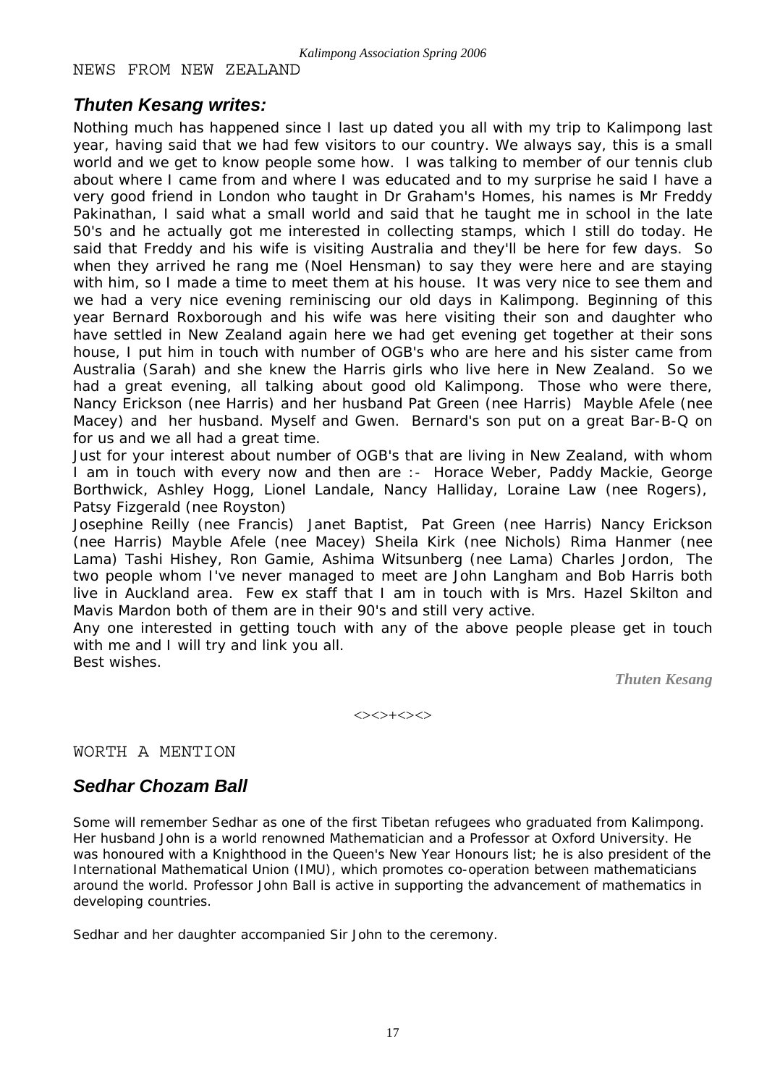<span id="page-16-0"></span>NEWS FROM NEW ZEALAND

# *Thuten Kesang writes:*

Nothing much has happened since I last up dated you all with my trip to Kalimpong last year, having said that we had few visitors to our country. We always say, this is a small world and we get to know people some how. I was talking to member of our tennis club about where I came from and where I was educated and to my surprise he said I have a very good friend in London who taught in Dr Graham's Homes, his names is Mr Freddy Pakinathan, I said what a small world and said that he taught me in school in the late 50's and he actually got me interested in collecting stamps, which I still do today. He said that Freddy and his wife is visiting Australia and they'll be here for few days. So when they arrived he rang me (Noel Hensman) to say they were here and are staying with him, so I made a time to meet them at his house. It was very nice to see them and we had a very nice evening reminiscing our old days in Kalimpong. Beginning of this year Bernard Roxborough and his wife was here visiting their son and daughter who have settled in New Zealand again here we had get evening get together at their sons house, I put him in touch with number of OGB's who are here and his sister came from Australia (Sarah) and she knew the Harris girls who live here in New Zealand. So we had a great evening, all talking about good old Kalimpong. Those who were there, Nancy Erickson (nee Harris) and her husband Pat Green (nee Harris) Mayble Afele (nee Macey) and her husband. Myself and Gwen. Bernard's son put on a great Bar-B-Q on for us and we all had a great time.

Just for your interest about number of OGB's that are living in New Zealand, with whom I am in touch with every now and then are :- Horace Weber, Paddy Mackie, George Borthwick, Ashley Hogg, Lionel Landale, Nancy Halliday, Loraine Law (nee Rogers), Patsy Fizgerald (nee Royston)

Josephine Reilly (nee Francis) Janet Baptist, Pat Green (nee Harris) Nancy Erickson (nee Harris) Mayble Afele (nee Macey) Sheila Kirk (nee Nichols) Rima Hanmer (nee Lama) Tashi Hishey, Ron Gamie, Ashima Witsunberg (nee Lama) Charles Jordon, The two people whom I've never managed to meet are John Langham and Bob Harris both live in Auckland area. Few ex staff that I am in touch with is Mrs. Hazel Skilton and Mavis Mardon both of them are in their 90's and still very active.

Any one interested in getting touch with any of the above people please get in touch with me and I will try and link you all. Best wishes.

*Thuten Kesang* 

 $\Leftrightarrow$   $\Leftrightarrow$   $\Leftrightarrow$   $\Leftrightarrow$ 

WORTH A MENTION

# *Sedhar Chozam Ball*

Some will remember Sedhar as one of the first Tibetan refugees who graduated from Kalimpong. Her husband John is a world renowned Mathematician and a Professor at Oxford University. He was honoured with a Knighthood in the Queen's New Year Honours list; he is also president of the International Mathematical Union (IMU), which promotes co-operation between mathematicians around the world. Professor John Ball is active in supporting the advancement of mathematics in developing countries.

Sedhar and her daughter accompanied Sir John to the ceremony.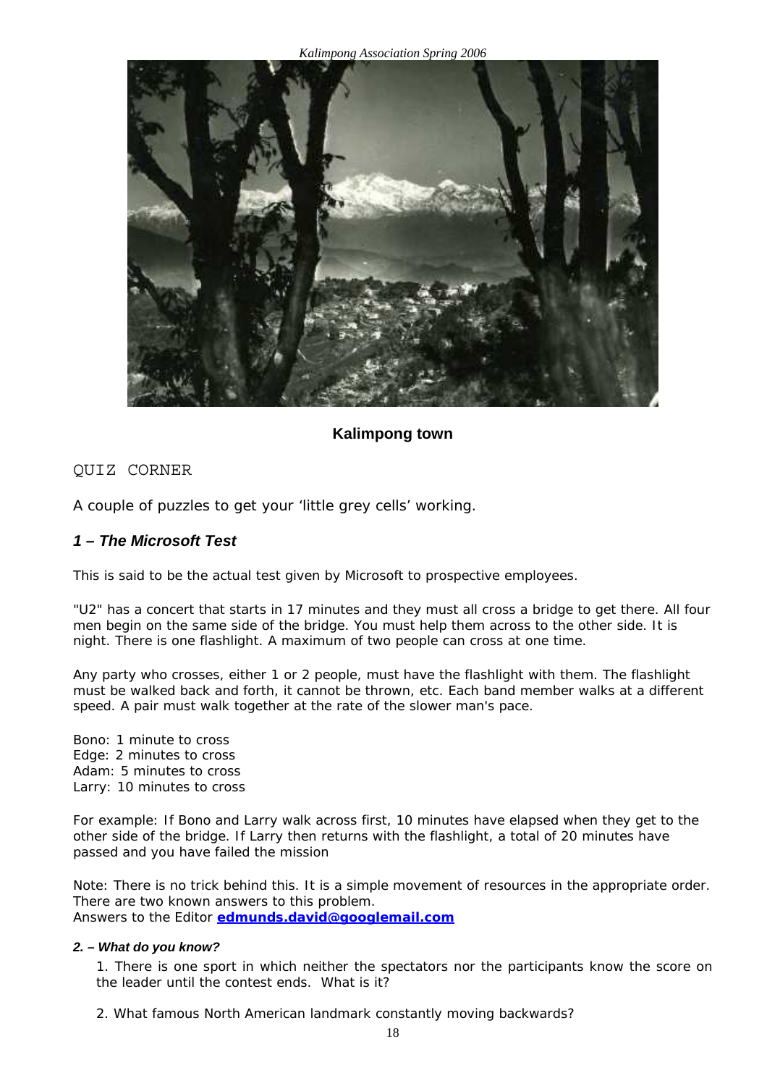<span id="page-17-0"></span>

## **Kalimpong town**

### QUIZ CORNER

A couple of puzzles to get your 'little grey cells' working.

## *1 – The Microsoft Test*

This is said to be the actual test given by Microsoft to prospective employees.

"U2" has a concert that starts in 17 minutes and they must all cross a bridge to get there. All four men begin on the same side of the bridge. You must help them across to the other side. It is night. There is one flashlight. A maximum of two people can cross at one time.

Any party who crosses, either 1 or 2 people, must have the flashlight with them. The flashlight must be walked back and forth, it cannot be thrown, etc. Each band member walks at a different speed. A pair must walk together at the rate of the slower man's pace.

Bono: 1 minute to cross Edge: 2 minutes to cross Adam: 5 minutes to cross Larry: 10 minutes to cross

For example: If Bono and Larry walk across first, 10 minutes have elapsed when they get to the other side of the bridge. If Larry then returns with the flashlight, a total of 20 minutes have passed and you have failed the mission

Note: There is no trick behind this. It is a simple movement of resources in the appropriate order. There are two known answers to this problem. Answers to the Editor **[edmunds.david@googlemail.com](mailto:edmunds.david@googlemail.com)**

#### *2. – What do you know?*

1. There is one sport in which neither the spectators nor the participants know the score on the leader until the contest ends. What is it?

2. What famous North American landmark constantly moving backwards?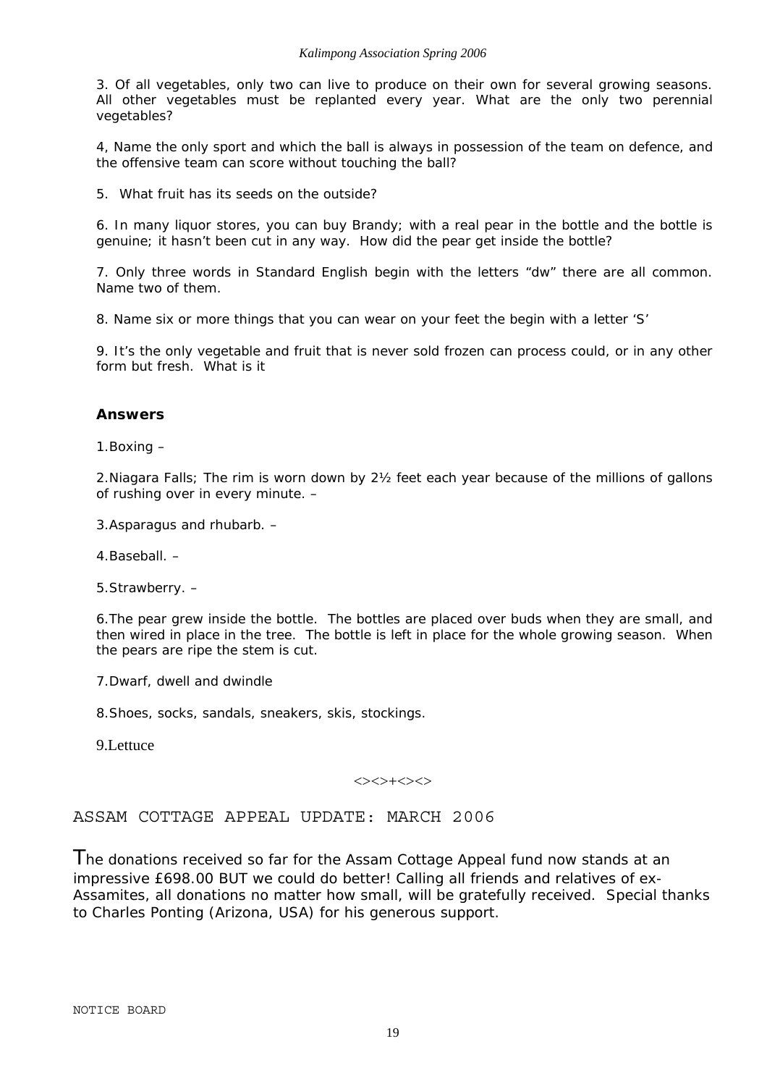<span id="page-18-0"></span>3. Of all vegetables, only two can live to produce on their own for several growing seasons. All other vegetables must be replanted every year. What are the only two perennial vegetables?

4, Name the only sport and which the ball is always in possession of the team on defence, and the offensive team can score without touching the ball?

5. What fruit has its seeds on the outside?

6. In many liquor stores, you can buy Brandy; with a real pear in the bottle and the bottle is genuine; it hasn't been cut in any way. How did the pear get inside the bottle?

7. Only three words in Standard English begin with the letters "dw" there are all common. Name two of them.

8. Name six or more things that you can wear on your feet the begin with a letter 'S'

9. It's the only vegetable and fruit that is never sold frozen can process could, or in any other form but fresh. What is it

#### **Answers**

1.Boxing –

2.Niagara Falls; The rim is worn down by 2½ feet each year because of the millions of gallons of rushing over in every minute. –

3.Asparagus and rhubarb. –

4.Baseball. –

5.Strawberry. –

6.The pear grew inside the bottle. The bottles are placed over buds when they are small, and then wired in place in the tree. The bottle is left in place for the whole growing season. When the pears are ripe the stem is cut.

7.Dwarf, dwell and dwindle

8.Shoes, socks, sandals, sneakers, skis, stockings.

9.Lettuce

 $\Leftrightarrow$ 

ASSAM COTTAGE APPEAL UPDATE: MARCH 2006

The donations received so far for the Assam Cottage Appeal fund now stands at an impressive £698.00 BUT we could do better! Calling all friends and relatives of ex-Assamites, all donations no matter how small, will be gratefully received. Special thanks to Charles Ponting (Arizona, USA) for his generous support.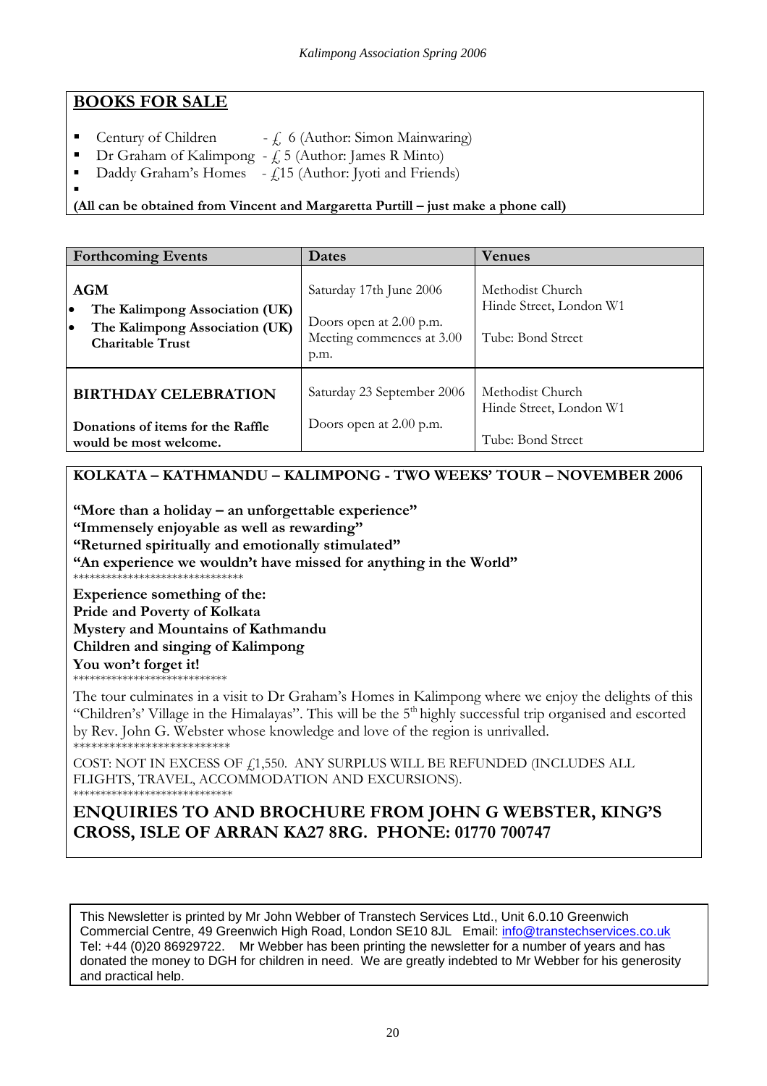# **BOOKS FOR SALE**

- Century of Children  $f$ , 6 (Author: Simon Mainwaring)
- $\blacksquare$  Dr Graham of Kalimpong  $f$ , 5 (Author: James R Minto)
- Daddy Graham's Homes  $f$  15 (Author: Jyoti and Friends)

. **(All can be obtained from Vincent and Margaretta Purtill – just make a phone call)** 

| <b>Forthcoming Events</b>                                                                                                    | Dates                                                                                   | <b>Venues</b>                                                    |
|------------------------------------------------------------------------------------------------------------------------------|-----------------------------------------------------------------------------------------|------------------------------------------------------------------|
| <b>AGM</b><br>The Kalimpong Association (UK)<br>$\bullet$<br>The Kalimpong Association (UK)<br>lo<br><b>Charitable Trust</b> | Saturday 17th June 2006<br>Doors open at 2.00 p.m.<br>Meeting commences at 3.00<br>p.m. | Methodist Church<br>Hinde Street, London W1<br>Tube: Bond Street |
| <b>BIRTHDAY CELEBRATION</b><br>Donations of items for the Raffle<br>would be most welcome.                                   | Saturday 23 September 2006<br>Doors open at 2.00 p.m.                                   | Methodist Church<br>Hinde Street, London W1<br>Tube: Bond Street |

# **KOLKATA – KATHMANDU – KALIMPONG - TWO WEEKS' TOUR – NOVEMBER 2006**

**"More than a holiday – an unforgettable experience"** 

**"Immensely enjoyable as well as rewarding"** 

**"Returned spiritually and emotionally stimulated"** 

**"An experience we wouldn't have missed for anything in the World"**

\*\*\*\*\*\*\*\*\*\*\*\*\*\*\*\*\*\*\*\*\*\*\*\*\*\*\*\*\*\*\*

**Experience something of the:** 

**Pride and Poverty of Kolkata** 

**Mystery and Mountains of Kathmandu** 

**Children and singing of Kalimpong**

**You won't forget it!**

\*\*\*\*\*\*\*\*\*\*\*\*\*\*\*\*\*\*\*\*\*\*\*\*\*\*\*\* The tour culminates in a visit to Dr Graham's Homes in Kalimpong where we enjoy the delights of this "Children's' Village in the Himalayas". This will be the  $5<sup>th</sup>$  highly successful trip organised and escorted by Rev. John G. Webster whose knowledge and love of the region is unrivalled. \*\*\*\*\*\*\*\*\*\*\*\*\*\*\*\*\*\*\*\*\*\*\*\*\*\*

COST: NOT IN EXCESS OF  $f$ 1,550. ANY SURPLUS WILL BE REFUNDED (INCLUDES ALL FLIGHTS, TRAVEL, ACCOMMODATION AND EXCURSIONS). \*\*\*\*\*\*\*\*\*\*\*\*\*\*\*\*\*\*\*\*\*\*\*\*\*\*\*\*\*

# **ENQUIRIES TO AND BROCHURE FROM JOHN G WEBSTER, KING'S CROSS, ISLE OF ARRAN KA27 8RG. PHONE: 01770 700747**

This Newsletter is printed by Mr John Webber of Transtech Services Ltd., Unit 6.0.10 Greenwich Commercial Centre, 49 Greenwich High Road, London SE10 8JL Email: [info@transtechservices.co.uk](mailto:info@transtechservices.co.uk) Tel: +44 (0)20 86929722. Mr Webber has been printing the newsletter for a number of years and has donated the money to DGH for children in need. We are greatly indebted to Mr Webber for his generosity and practical help.